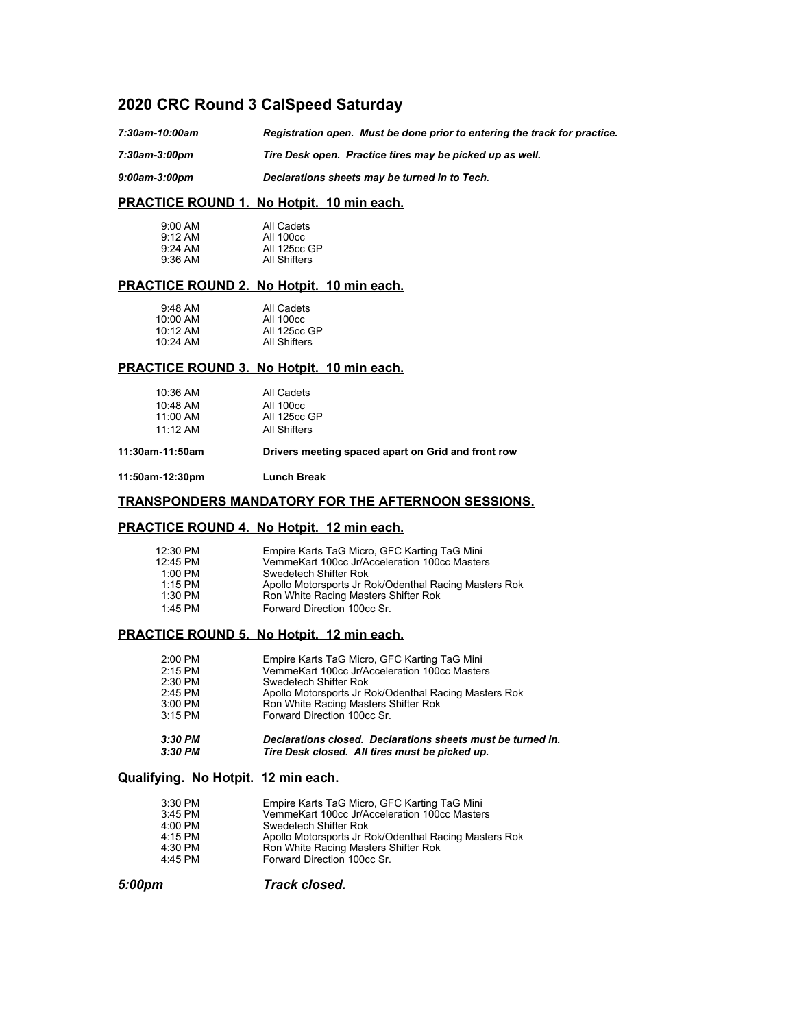# **2020 CRC Round 3 CalSpeed Saturday**

*7:30am-10:00am Registration open. Must be done prior to entering the track for practice.*

*7:30am-3:00pm Tire Desk open. Practice tires may be picked up as well.*

*9:00am-3:00pm Declarations sheets may be turned in to Tech.*

## **PRACTICE ROUND 1. No Hotpit. 10 min each.**

| $9:00$ AM           | All Cadets   |
|---------------------|--------------|
| $9:12 \, \text{AM}$ | All 100cc    |
| $9:24$ AM           | All 125cc GP |
| $9:36$ AM           | All Shifters |

## **PRACTICE ROUND 2. No Hotpit. 10 min each.**

| $9:48$ AM | All Cadets   |
|-----------|--------------|
| 10:00 AM  | All 100cc    |
| 10:12 AM  | All 125cc GP |
| 10:24 AM  | All Shifters |

## **PRACTICE ROUND 3. No Hotpit. 10 min each.**

| $10:36$ AM | All Cadets          |
|------------|---------------------|
| $10:48$ AM | All 100cc           |
| 11:00 AM   | <b>All 125cc GP</b> |
| $11.12$ AM | All Shifters        |

**11:30am-11:50am Drivers meeting spaced apart on Grid and front row**

**11:50am-12:30pm Lunch Break**

## **TRANSPONDERS MANDATORY FOR THE AFTERNOON SESSIONS.**

## **PRACTICE ROUND 4. No Hotpit. 12 min each.**

| 12:30 PM  | Empire Karts TaG Micro, GFC Karting TaG Mini          |
|-----------|-------------------------------------------------------|
| 12:45 PM  | VemmeKart 100cc Jr/Acceleration 100cc Masters         |
| $1:00$ PM | Swedetech Shifter Rok                                 |
| $1.15$ PM | Apollo Motorsports Jr Rok/Odenthal Racing Masters Rok |
| $1:30$ PM | Ron White Racing Masters Shifter Rok                  |
| $1.45$ PM | Forward Direction 100cc Sr.                           |

#### **PRACTICE ROUND 5. No Hotpit. 12 min each.**

| 2:00 PM   | Empire Karts TaG Micro, GFC Karting TaG Mini                |
|-----------|-------------------------------------------------------------|
| $2:15$ PM | VemmeKart 100cc Jr/Acceleration 100cc Masters               |
| $2:30$ PM | Swedetech Shifter Rok                                       |
| $2:45$ PM | Apollo Motorsports Jr Rok/Odenthal Racing Masters Rok       |
| 3:00 PM   | Ron White Racing Masters Shifter Rok                        |
| $3:15$ PM | Forward Direction 100cc Sr.                                 |
| $3:30$ PM | Declarations closed. Declarations sheets must be turned in. |
| $3:30$ PM | Tire Desk closed. All tires must be picked up.              |

#### **Qualifying. No Hotpit. 12 min each.**

| $3:30$ PM | Empire Karts TaG Micro, GFC Karting TaG Mini          |
|-----------|-------------------------------------------------------|
| $3:45$ PM | VemmeKart 100cc Jr/Acceleration 100cc Masters         |
| 4:00 PM   | Swedetech Shifter Rok                                 |
| 4:15 PM   | Apollo Motorsports Jr Rok/Odenthal Racing Masters Rok |
| 4:30 PM   | Ron White Racing Masters Shifter Rok                  |
| 4:45 PM   | Forward Direction 100cc Sr.                           |

*5:00pm Track closed.*